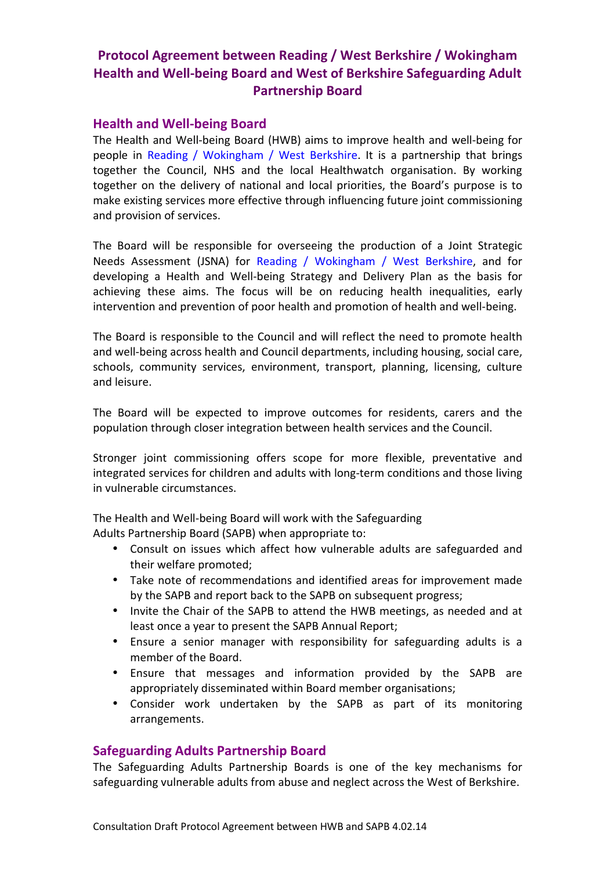## **Protocol Agreement between Reading / West Berkshire / Wokingham Health and Well-being Board and West of Berkshire Safeguarding Adult Partnership Board**

## **Health and Well-being Board**

The Health and Well-being Board (HWB) aims to improve health and well-being for people in Reading / Wokingham / West Berkshire. It is a partnership that brings together the Council, NHS and the local Healthwatch organisation. By working together on the delivery of national and local priorities, the Board's purpose is to make existing services more effective through influencing future joint commissioning and provision of services.

The Board will be responsible for overseeing the production of a Joint Strategic Needs Assessment (JSNA) for Reading / Wokingham / West Berkshire, and for developing a Health and Well-being Strategy and Delivery Plan as the basis for achieving these aims. The focus will be on reducing health inequalities, early intervention and prevention of poor health and promotion of health and well-being.

The Board is responsible to the Council and will reflect the need to promote health and well-being across health and Council departments, including housing, social care, schools, community services, environment, transport, planning, licensing, culture and leisure.

The Board will be expected to improve outcomes for residents, carers and the population through closer integration between health services and the Council.

Stronger joint commissioning offers scope for more flexible, preventative and integrated services for children and adults with long-term conditions and those living in vulnerable circumstances.

The Health and Well-being Board will work with the Safeguarding Adults Partnership Board (SAPB) when appropriate to:

- Consult on issues which affect how vulnerable adults are safeguarded and their welfare promoted;
- Take note of recommendations and identified areas for improvement made by the SAPB and report back to the SAPB on subsequent progress;
- Invite the Chair of the SAPB to attend the HWB meetings, as needed and at least once a year to present the SAPB Annual Report;
- Ensure a senior manager with responsibility for safeguarding adults is a member of the Board.
- Ensure that messages and information provided by the SAPB are appropriately disseminated within Board member organisations;
- Consider work undertaken by the SAPB as part of its monitoring arrangements.

## **Safeguarding Adults Partnership Board**

The Safeguarding Adults Partnership Boards is one of the key mechanisms for safeguarding vulnerable adults from abuse and neglect across the West of Berkshire.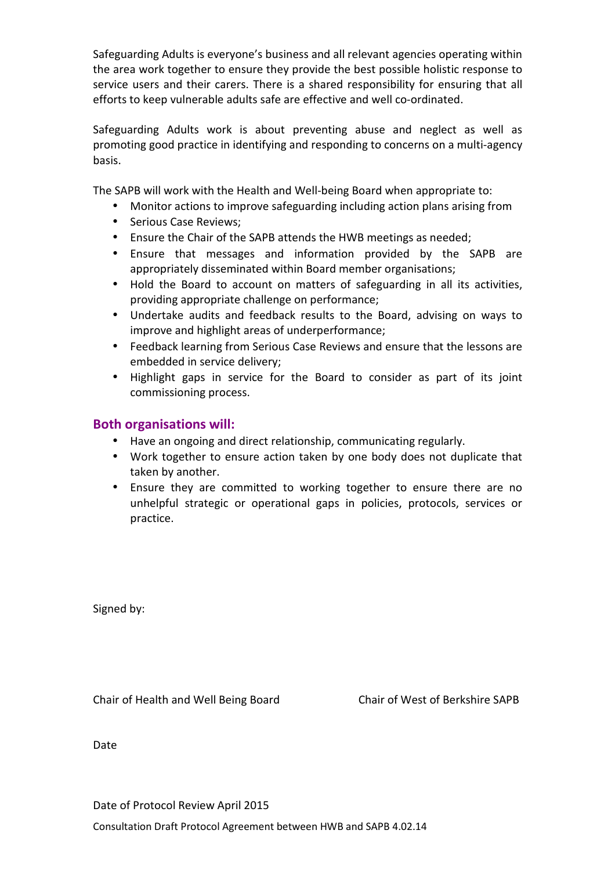Safeguarding Adults is everyone's business and all relevant agencies operating within the area work together to ensure they provide the best possible holistic response to service users and their carers. There is a shared responsibility for ensuring that all efforts to keep vulnerable adults safe are effective and well co-ordinated.

Safeguarding Adults work is about preventing abuse and neglect as well as promoting good practice in identifying and responding to concerns on a multi-agency basis.

The SAPB will work with the Health and Well-being Board when appropriate to:

- Monitor actions to improve safeguarding including action plans arising from
- Serious Case Reviews:
- Ensure the Chair of the SAPB attends the HWB meetings as needed;
- Ensure that messages and information provided by the SAPB are appropriately disseminated within Board member organisations;
- Hold the Board to account on matters of safeguarding in all its activities, providing appropriate challenge on performance;
- Undertake audits and feedback results to the Board, advising on ways to improve and highlight areas of underperformance;
- Feedback learning from Serious Case Reviews and ensure that the lessons are embedded in service delivery;
- Highlight gaps in service for the Board to consider as part of its joint commissioning process.

## **Both organisations will:**

- Have an ongoing and direct relationship, communicating regularly.
- Work together to ensure action taken by one body does not duplicate that taken by another.
- Ensure they are committed to working together to ensure there are no unhelpful strategic or operational gaps in policies, protocols, services or practice.

Signed by:

Chair of Health and Well Being Board Chair of West of Berkshire SAPB

Date

Date of Protocol Review April 2015

Consultation Draft Protocol Agreement between HWB and SAPB 4.02.14